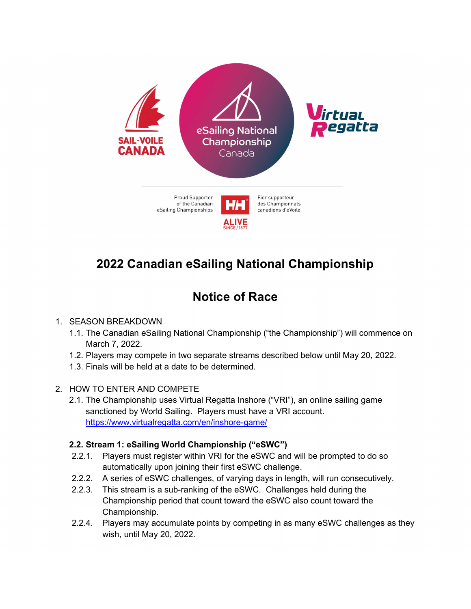

# 2022 Canadian eSailing National Championship

## Notice of Race

#### 1. SEASON BREAKDOWN

- 1.1. The Canadian eSailing National Championship ("the Championship") will commence on March 7, 2022.
- 1.2. Players may compete in two separate streams described below until May 20, 2022.
- 1.3. Finals will be held at a date to be determined.
- 2. HOW TO ENTER AND COMPETE
	- 2.1. The Championship uses Virtual Regatta Inshore ("VRI"), an online sailing game sanctioned by World Sailing. Players must have a VRI account. https://www.virtualregatta.com/en/inshore-game/

### 2.2. Stream 1: eSailing World Championship ("eSWC")

- 2.2.1. Players must register within VRI for the eSWC and will be prompted to do so automatically upon joining their first eSWC challenge.
- 2.2.2. A series of eSWC challenges, of varying days in length, will run consecutively.
- 2.2.3. This stream is a sub-ranking of the eSWC. Challenges held during the Championship period that count toward the eSWC also count toward the Championship.
- 2.2.4. Players may accumulate points by competing in as many eSWC challenges as they wish, until May 20, 2022.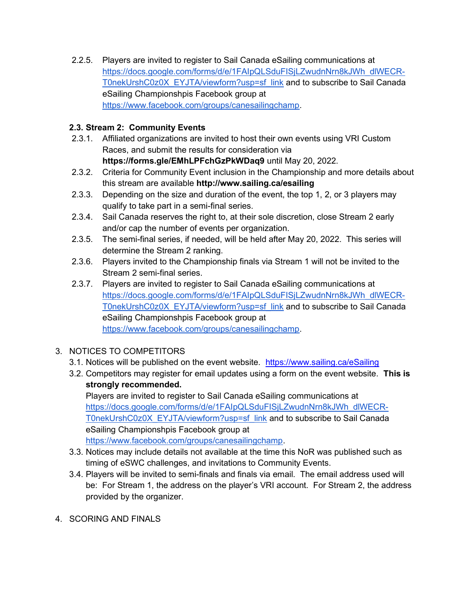2.2.5. Players are invited to register to Sail Canada eSailing communications at https://docs.google.com/forms/d/e/1FAIpQLSduFISjLZwudnNrn8kJWh\_dlWECR-T0nekUrshC0z0X\_EYJTA/viewform?usp=sf\_link and to subscribe to Sail Canada eSailing Championshpis Facebook group at https://www.facebook.com/groups/canesailingchamp.

#### 2.3. Stream 2: Community Events

- 2.3.1. Affiliated organizations are invited to host their own events using VRI Custom Races, and submit the results for consideration via https://forms.gle/EMhLPFchGzPkWDaq9 until May 20, 2022.
- 2.3.2. Criteria for Community Event inclusion in the Championship and more details about this stream are available http://www.sailing.ca/esailing
- 2.3.3. Depending on the size and duration of the event, the top 1, 2, or 3 players may qualify to take part in a semi-final series.
- 2.3.4. Sail Canada reserves the right to, at their sole discretion, close Stream 2 early and/or cap the number of events per organization.
- 2.3.5. The semi-final series, if needed, will be held after May 20, 2022. This series will determine the Stream 2 ranking.
- 2.3.6. Players invited to the Championship finals via Stream 1 will not be invited to the Stream 2 semi-final series.
- 2.3.7. Players are invited to register to Sail Canada eSailing communications at https://docs.google.com/forms/d/e/1FAIpQLSduFISjLZwudnNrn8kJWh\_dlWECR-T0nekUrshC0z0X\_EYJTA/viewform?usp=sf\_link and to subscribe to Sail Canada eSailing Championshpis Facebook group at https://www.facebook.com/groups/canesailingchamp.
- 3. NOTICES TO COMPETITORS
	- 3.1. Notices will be published on the event website. https://www.sailing.ca/eSailing
	- 3.2. Competitors may register for email updates using a form on the event website. This is strongly recommended.

Players are invited to register to Sail Canada eSailing communications at https://docs.google.com/forms/d/e/1FAIpQLSduFISjLZwudnNrn8kJWh\_dlWECR-T0nekUrshC0z0X\_EYJTA/viewform?usp=sf\_link and to subscribe to Sail Canada eSailing Championshpis Facebook group at https://www.facebook.com/groups/canesailingchamp.

- 3.3. Notices may include details not available at the time this NoR was published such as timing of eSWC challenges, and invitations to Community Events.
- 3.4. Players will be invited to semi-finals and finals via email. The email address used will be: For Stream 1, the address on the player's VRI account. For Stream 2, the address provided by the organizer.
- 4. SCORING AND FINALS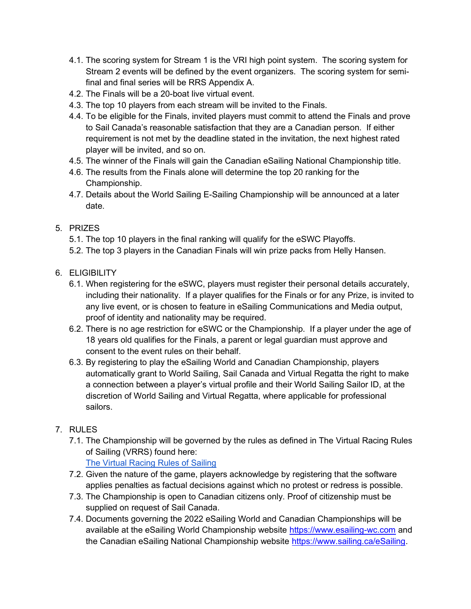- 4.1. The scoring system for Stream 1 is the VRI high point system. The scoring system for Stream 2 events will be defined by the event organizers. The scoring system for semifinal and final series will be RRS Appendix A.
- 4.2. The Finals will be a 20-boat live virtual event.
- 4.3. The top 10 players from each stream will be invited to the Finals.
- 4.4. To be eligible for the Finals, invited players must commit to attend the Finals and prove to Sail Canada's reasonable satisfaction that they are a Canadian person. If either requirement is not met by the deadline stated in the invitation, the next highest rated player will be invited, and so on.
- 4.5. The winner of the Finals will gain the Canadian eSailing National Championship title.
- 4.6. The results from the Finals alone will determine the top 20 ranking for the Championship.
- 4.7. Details about the World Sailing E-Sailing Championship will be announced at a later date.
- 5. PRIZES
	- 5.1. The top 10 players in the final ranking will qualify for the eSWC Playoffs.
	- 5.2. The top 3 players in the Canadian Finals will win prize packs from Helly Hansen.
- 6. ELIGIBILITY
	- 6.1. When registering for the eSWC, players must register their personal details accurately, including their nationality. If a player qualifies for the Finals or for any Prize, is invited to any live event, or is chosen to feature in eSailing Communications and Media output, proof of identity and nationality may be required.
	- 6.2. There is no age restriction for eSWC or the Championship. If a player under the age of 18 years old qualifies for the Finals, a parent or legal guardian must approve and consent to the event rules on their behalf.
	- 6.3. By registering to play the eSailing World and Canadian Championship, players automatically grant to World Sailing, Sail Canada and Virtual Regatta the right to make a connection between a player's virtual profile and their World Sailing Sailor ID, at the discretion of World Sailing and Virtual Regatta, where applicable for professional sailors.
- 7. RULES
	- 7.1. The Championship will be governed by the rules as defined in The Virtual Racing Rules of Sailing (VRRS) found here: The Virtual Racing Rules of Sailing
	- 7.2. Given the nature of the game, players acknowledge by registering that the software applies penalties as factual decisions against which no protest or redress is possible.
	- 7.3. The Championship is open to Canadian citizens only. Proof of citizenship must be supplied on request of Sail Canada.
	- 7.4. Documents governing the 2022 eSailing World and Canadian Championships will be available at the eSailing World Championship website https://www.esailing-wc.com and the Canadian eSailing National Championship website https://www.sailing.ca/eSailing.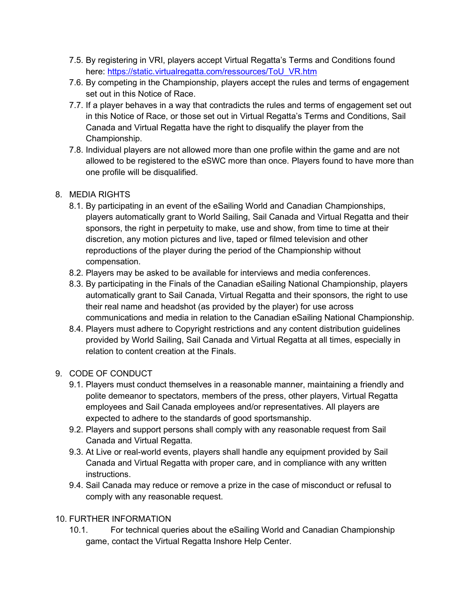- 7.5. By registering in VRI, players accept Virtual Regatta's Terms and Conditions found here: https://static.virtualregatta.com/ressources/ToU\_VR.htm
- 7.6. By competing in the Championship, players accept the rules and terms of engagement set out in this Notice of Race.
- 7.7. If a player behaves in a way that contradicts the rules and terms of engagement set out in this Notice of Race, or those set out in Virtual Regatta's Terms and Conditions, Sail Canada and Virtual Regatta have the right to disqualify the player from the Championship.
- 7.8. Individual players are not allowed more than one profile within the game and are not allowed to be registered to the eSWC more than once. Players found to have more than one profile will be disqualified.

#### 8. MEDIA RIGHTS

- 8.1. By participating in an event of the eSailing World and Canadian Championships, players automatically grant to World Sailing, Sail Canada and Virtual Regatta and their sponsors, the right in perpetuity to make, use and show, from time to time at their discretion, any motion pictures and live, taped or filmed television and other reproductions of the player during the period of the Championship without compensation.
- 8.2. Players may be asked to be available for interviews and media conferences.
- 8.3. By participating in the Finals of the Canadian eSailing National Championship, players automatically grant to Sail Canada, Virtual Regatta and their sponsors, the right to use their real name and headshot (as provided by the player) for use across communications and media in relation to the Canadian eSailing National Championship.
- 8.4. Players must adhere to Copyright restrictions and any content distribution guidelines provided by World Sailing, Sail Canada and Virtual Regatta at all times, especially in relation to content creation at the Finals.

### 9. CODE OF CONDUCT

- 9.1. Players must conduct themselves in a reasonable manner, maintaining a friendly and polite demeanor to spectators, members of the press, other players, Virtual Regatta employees and Sail Canada employees and/or representatives. All players are expected to adhere to the standards of good sportsmanship.
- 9.2. Players and support persons shall comply with any reasonable request from Sail Canada and Virtual Regatta.
- 9.3. At Live or real-world events, players shall handle any equipment provided by Sail Canada and Virtual Regatta with proper care, and in compliance with any written instructions.
- 9.4. Sail Canada may reduce or remove a prize in the case of misconduct or refusal to comply with any reasonable request.

### 10. FURTHER INFORMATION

10.1. For technical queries about the eSailing World and Canadian Championship game, contact the Virtual Regatta Inshore Help Center.